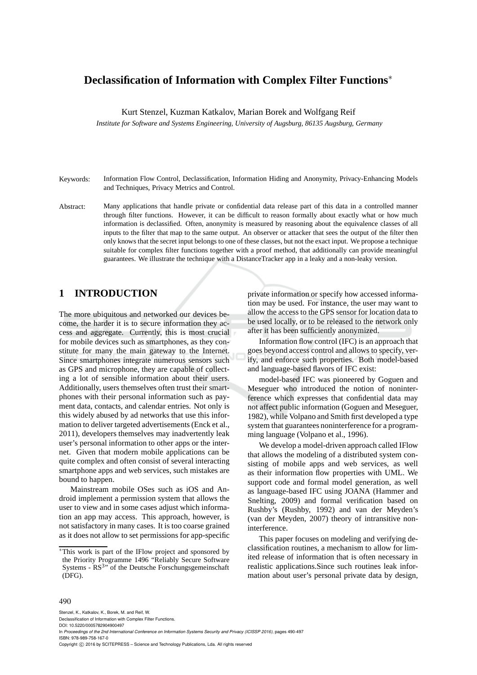# **Declassification of Information with Complex Filter Functions**∗

Kurt Stenzel, Kuzman Katkalov, Marian Borek and Wolfgang Reif

*Institute for Software and Systems Engineering, University of Augsburg, 86135 Augsburg, Germany*

- Keywords: Information Flow Control, Declassification, Information Hiding and Anonymity, Privacy-Enhancing Models and Techniques, Privacy Metrics and Control.
- Abstract: Many applications that handle private or confidential data release part of this data in a controlled manner through filter functions. However, it can be difficult to reason formally about exactly what or how much information is declassified. Often, anonymity is measured by reasoning about the equivalence classes of all inputs to the filter that map to the same output. An observer or attacker that sees the output of the filter then only knows that the secret input belongs to one of these classes, but not the exact input. We propose a technique suitable for complex filter functions together with a proof method, that additionally can provide meaningful guarantees. We illustrate the technique with a DistanceTracker app in a leaky and a non-leaky version.

### **1 INTRODUCTION**

The more ubiquitous and networked our devices become, the harder it is to secure information they access and aggregate. Currently, this is most crucial for mobile devices such as smartphones, as they constitute for many the main gateway to the Internet. Since smartphones integrate numerous sensors such as GPS and microphone, they are capable of collecting a lot of sensible information about their users. Additionally, users themselves often trust their smartphones with their personal information such as payment data, contacts, and calendar entries. Not only is this widely abused by ad networks that use this information to deliver targeted advertisements (Enck et al., 2011), developers themselves may inadvertently leak user's personal information to other apps or the internet. Given that modern mobile applications can be quite complex and often consist of several interacting smartphone apps and web services, such mistakes are bound to happen.

Mainstream mobile OSes such as iOS and Android implement a permission system that allows the user to view and in some cases adjust which information an app may access. This approach, however, is not satisfactory in many cases. It is too coarse grained as it does not allow to set permissions for app-specific private information or specify how accessed information may be used. For instance, the user may want to allow the access to the GPS sensor for location data to be used locally, or to be released to the network only after it has been sufficiently anonymized.

Information flow control (IFC) is an approach that goes beyond access control and allows to specify, verify, and enforce such properties. Both model-based and language-based flavors of IFC exist:

model-based IFC was pioneered by Goguen and Meseguer who introduced the notion of noninterference which expresses that confidential data may not affect public information (Goguen and Meseguer, 1982), while Volpano and Smith first developed a type system that guarantees noninterference for a programming language (Volpano et al., 1996).

We develop a model-driven approach called IFlow that allows the modeling of a distributed system consisting of mobile apps and web services, as well as their information flow properties with UML. We support code and formal model generation, as well as language-based IFC using JOANA (Hammer and Snelting, 2009) and formal verification based on Rushby's (Rushby, 1992) and van der Meyden's (van der Meyden, 2007) theory of intransitive noninterference.

This paper focuses on modeling and verifying declassification routines, a mechanism to allow for limited release of information that is often necessary in realistic applications.Since such routines leak information about user's personal private data by design,

#### 490

Stenzel, K., Katkalov, K., Borek, M. and Reif, W.

In *Proceedings of the 2nd International Conference on Information Systems Security and Privacy (ICISSP 2016)*, pages 490-497 ISBN: 978-989-758-167-0

Copyright © 2016 by SCITEPRESS - Science and Technology Publications, Lda. All rights reserved

<sup>∗</sup>This work is part of the IFlow project and sponsored by the Priority Programme 1496 "Reliably Secure Software Systems -  $RS^{3n}$  of the Deutsche Forschungsgemeinschaft (DFG).

Declassification of Information with Complex Filter Functions. DOI: 10.5220/0005782904900497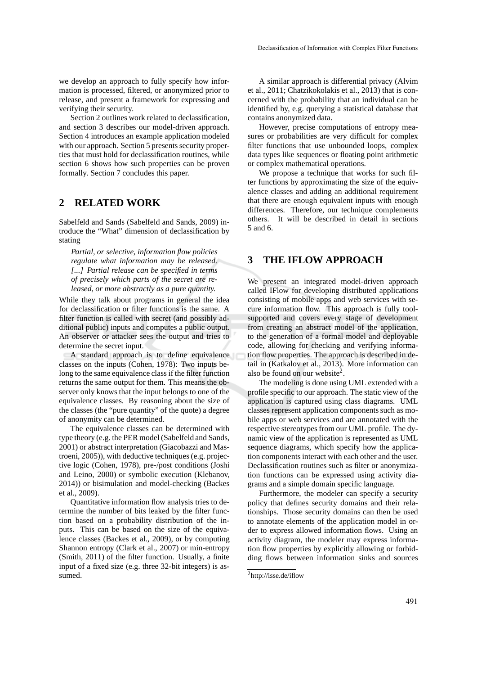verifying their security. Section 2 outlines work related to declassification, and section 3 describes our model-driven approach. Section 4 introduces an example application modeled with our approach. Section 5 presents security properties that must hold for declassification routines, while section 6 shows how such properties can be proven formally. Section 7 concludes this paper.

## **2 RELATED WORK**

Sabelfeld and Sands (Sabelfeld and Sands, 2009) introduce the "What" dimension of declassification by stating

*Partial, or selective, information flow policies regulate what information may be released. [...] Partial release can be specified in terms of precisely which parts of the secret are released, or more abstractly as a pure quantity.*

While they talk about programs in general the idea for declassification or filter functions is the same. A filter function is called with secret (and possibly additional public) inputs and computes a public output. An observer or attacker sees the output and tries to determine the secret input.

A standard approach is to define equivalence classes on the inputs (Cohen, 1978): Two inputs belong to the same equivalence class if the filter function returns the same output for them. This means the observer only knows that the input belongs to one of the equivalence classes. By reasoning about the size of the classes (the "pure quantity" of the quote) a degree of anonymity can be determined.

The equivalence classes can be determined with type theory (e.g. the PER model (Sabelfeld and Sands, 2001) or abstract interpretation (Giacobazzi and Mastroeni, 2005)), with deductive techniques (e.g. projective logic (Cohen, 1978), pre-/post conditions (Joshi and Leino, 2000) or symbolic execution (Klebanov, 2014)) or bisimulation and model-checking (Backes et al., 2009).

Quantitative information flow analysis tries to determine the number of bits leaked by the filter function based on a probability distribution of the inputs. This can be based on the size of the equivalence classes (Backes et al., 2009), or by computing Shannon entropy (Clark et al., 2007) or min-entropy (Smith, 2011) of the filter function. Usually, a finite input of a fixed size (e.g. three 32-bit integers) is assumed.

A similar approach is differential privacy (Alvim et al., 2011; Chatzikokolakis et al., 2013) that is concerned with the probability that an individual can be identified by, e.g. querying a statistical database that contains anonymized data.

However, precise computations of entropy measures or probabilities are very difficult for complex filter functions that use unbounded loops, complex data types like sequences or floating point arithmetic or complex mathematical operations.

We propose a technique that works for such filter functions by approximating the size of the equivalence classes and adding an additional requirement that there are enough equivalent inputs with enough differences. Therefore, our technique complements others. It will be described in detail in sections 5 and 6.

## **3 THE IFLOW APPROACH**

We present an integrated model-driven approach called IFlow for developing distributed applications consisting of mobile apps and web services with secure information flow. This approach is fully toolsupported and covers every stage of development from creating an abstract model of the application, to the generation of a formal model and deployable code, allowing for checking and verifying information flow properties. The approach is described in detail in (Katkalov et al., 2013). More information can also be found on our website<sup>2</sup>.

The modeling is done using UML extended with a profile specific to our approach. The static view of the application is captured using class diagrams. UML classes represent application components such as mobile apps or web services and are annotated with the respective stereotypes from our UML profile. The dynamic view of the application is represented as UML sequence diagrams, which specify how the application components interact with each other and the user. Declassification routines such as filter or anonymization functions can be expressed using activity diagrams and a simple domain specific language.

Furthermore, the modeler can specify a security policy that defines security domains and their relationships. Those security domains can then be used to annotate elements of the application model in order to express allowed information flows. Using an activity diagram, the modeler may express information flow properties by explicitly allowing or forbidding flows between information sinks and sources

<sup>2</sup>http://isse.de/iflow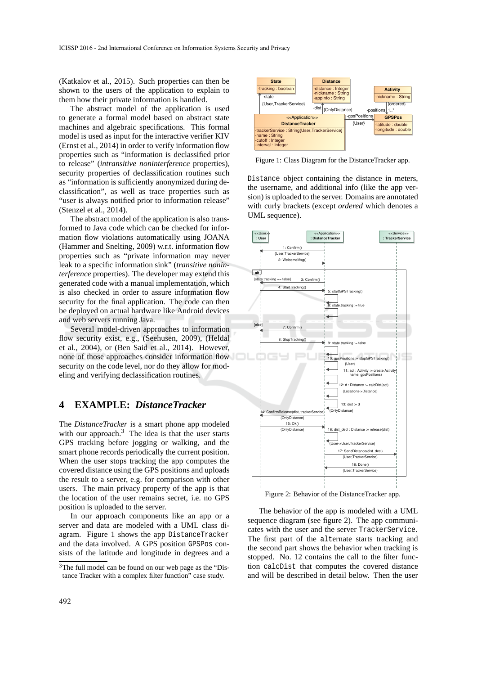(Katkalov et al., 2015). Such properties can then be shown to the users of the application to explain to them how their private information is handled.

The abstract model of the application is used to generate a formal model based on abstract state machines and algebraic specifications. This formal model is used as input for the interactive verifier KIV (Ernst et al., 2014) in order to verify information flow properties such as "information is declassified prior to release" (*intransitive noninterference* properties), security properties of declassification routines such as "information is sufficiently anonymized during declassification", as well as trace properties such as "user is always notified prior to information release" (Stenzel et al., 2014).

The abstract model of the application is also transformed to Java code which can be checked for information flow violations automatically using JOANA (Hammer and Snelting, 2009) w.r.t. information flow properties such as "private information may never leak to a specific information sink" (*transitive noninterference* properties). The developer may extend this generated code with a manual implementation, which is also checked in order to assure information flow security for the final application. The code can then be deployed on actual hardware like Android devices and web servers running Java.

Several model-driven approaches to information flow security exist, e.g., (Seehusen, 2009), (Heldal et al., 2004), or (Ben Said et al., 2014). However, none of those approaches consider information flow security on the code level, nor do they allow for modeling and verifying declassification routines.

#### **4 EXAMPLE:** *DistanceTracker*

The *DistanceTracker* is a smart phone app modeled with our approach. $3$  The idea is that the user starts GPS tracking before jogging or walking, and the smart phone records periodically the current position. When the user stops tracking the app computes the covered distance using the GPS positions and uploads the result to a server, e.g. for comparison with other users. The main privacy property of the app is that the location of the user remains secret, i.e. no GPS position is uploaded to the server.

In our approach components like an app or a server and data are modeled with a UML class diagram. Figure 1 shows the app DistanceTracker and the data involved. A GPS position GPSPos consists of the latitude and longitude in degrees and a



Figure 1: Class Diagram for the DistanceTracker app.

Distance object containing the distance in meters, the username, and additional info (like the app version) is uploaded to the server. Domains are annotated with curly brackets (except *ordered* which denotes a UML sequence).



Figure 2: Behavior of the DistanceTracker app.

The behavior of the app is modeled with a UML sequence diagram (see figure 2). The app communicates with the user and the server TrackerService. The first part of the alternate starts tracking and the second part shows the behavior when tracking is stopped. No. 12 contains the call to the filter function calcDist that computes the covered distance and will be described in detail below. Then the user

<sup>3</sup>The full model can be found on our web page as the "Distance Tracker with a complex filter function" case study.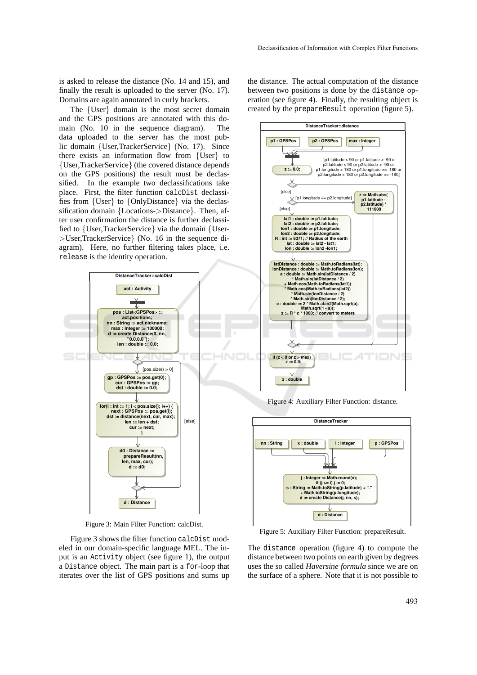is asked to release the distance (No. 14 and 15), and finally the result is uploaded to the server (No. 17). Domains are again annotated in curly brackets.

The {User} domain is the most secret domain and the GPS positions are annotated with this domain (No. 10 in the sequence diagram). The data uploaded to the server has the most public domain {User,TrackerService} (No. 17). Since there exists an information flow from {User} to {User,TrackerService} (the covered distance depends on the GPS positions) the result must be declassified. In the example two declassifications take place. First, the filter function calcDist declassifies from {User} to {OnlyDistance} via the declassification domain {Locations->Distance}. Then, after user confirmation the distance is further declassified to {User,TrackerService} via the domain {User- >User,TrackerService} (No. 16 in the sequence diagram). Here, no further filtering takes place, i.e. release is the identity operation.



Figure 3: Main Filter Function: calcDist.

Figure 3 shows the filter function calcDist modeled in our domain-specific language MEL. The input is an Activity object (see figure 1), the output a Distance object. The main part is a for-loop that iterates over the list of GPS positions and sums up

the distance. The actual computation of the distance between two positions is done by the distance operation (see figure 4). Finally, the resulting object is created by the prepareResult operation (figure 5).



Figure 4: Auxiliary Filter Function: distance.



Figure 5: Auxiliary Filter Function: prepareResult.

The distance operation (figure 4) to compute the distance between two points on earth given by degrees uses the so called *Haversine formula* since we are on the surface of a sphere. Note that it is not possible to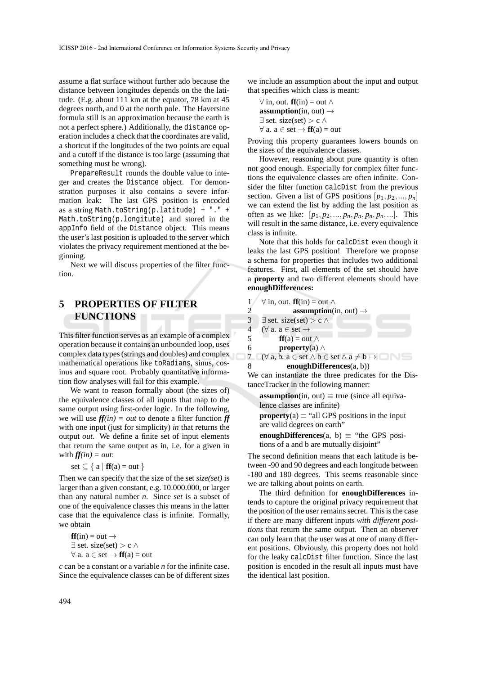assume a flat surface without further ado because the distance between longitudes depends on the the latitude. (E.g. about 111 km at the equator, 78 km at 45 degrees north, and 0 at the north pole. The Haversine formula still is an approximation because the earth is not a perfect sphere.) Additionally, the distance operation includes a check that the coordinates are valid, a shortcut if the longitudes of the two points are equal and a cutoff if the distance is too large (assuming that something must be wrong).

PrepareResult rounds the double value to integer and creates the Distance object. For demonstration purposes it also contains a severe information leak: The last GPS position is encoded as a string Math.toString(p.latitude) + "." + Math.toString(p.longitute) and stored in the appInfo field of the Distance object. This means the user's last position is uploaded to the server which violates the privacy requirement mentioned at the beginning.

Next we will discuss properties of the filter function.

# **5 PROPERTIES OF FILTER FUNCTIONS**

This filter function serves as an example of a complex operation because it contains an unbounded loop, uses complex data types (strings and doubles) and complex mathematical operations like toRadians, sinus, cosinus and square root. Probably quantitative information flow analyses will fail for this example.

We want to reason formally about (the sizes of) the equivalence classes of all inputs that map to the same output using first-order logic. In the following, we will use  $f(x) = out$  to denote a filter function  $f(x) = in$ with one input (just for simplicity) *in* that returns the output *out*. We define a finite set of input elements that return the same output as in, i.e. for a given in with  $f f(i n) = out$ :

$$
\text{set} \subseteq \{ \text{ a } | \text{ ff}(a) = \text{out } \}
$$

Then we can specify that the size of the set *size(set)* is larger than a given constant, e.g. 10.000.000, or larger than any natural number *n*. Since *set* is a subset of one of the equivalence classes this means in the latter case that the equivalence class is infinite. Formally, we obtain

$$
ff(in) = out \rightarrow
$$
  

$$
\exists set. size(set) > c \land
$$
  

$$
\forall a. a \in set \rightarrow ff(a) = out
$$

*c* can be a constant or a variable *n* for the infinite case. Since the equivalence classes can be of different sizes we include an assumption about the input and output that specifies which class is meant:

$$
\forall \text{ in, out. } \mathbf{ff}(\text{in}) = \text{out } \land
$$
  
**assumption**(in, out)  $\rightarrow$   
 $\exists$  set. size(set) > c  $\land$   
 $\forall$  a. a  $\in$  set  $\rightarrow$   $\mathbf{ff}(a) = \text{out}$ 

Proving this property guarantees lowers bounds on the sizes of the equivalence classes.

However, reasoning about pure quantity is often not good enough. Especially for complex filter functions the equivalence classes are often infinite. Consider the filter function calcDist from the previous section. Given a list of GPS positions  $[p_1, p_2, ..., p_n]$ we can extend the list by adding the last position as often as we like:  $[p_1, p_2, ..., p_n, p_n, p_n, p_n, ...].$  This will result in the same distance, i.e. every equivalence class is infinite.

Note that this holds for calcDist even though it leaks the last GPS position! Therefore we propose a schema for properties that includes two additional features. First, all elements of the set should have a **property** and two different elements should have **enoughDifferences:**

1 
$$
\forall
$$
 in, out. **ff**(in) = out  $\land$ 

2 **assumption**(in, out) 
$$
\rightarrow
$$
  
3  $\exists$  set. size(set) > c  $\land$   
4  $(\forall$  a. a  $\in$  set  $\rightarrow$   
5 **ff**(a) = out  $\land$ 

6 **property**(a) ∧

7 ( $\forall$  a, b. a  $\in$  set  $\land$  b  $\in$  set  $\land$  a  $\neq$  b  $\rightarrow$ 8 **enoughDifferences**(a, b))

We can instantiate the three predicates for the DistanceTracker in the following manner:

**assumption**(in, out)  $\equiv$  true (since all equivalence classes are infinite)

**property**(a)  $\equiv$  "all GPS positions in the input are valid degrees on earth"

**enoughDifferences**(a, b)  $\equiv$  "the GPS positions of a and b are mutually disjoint"

The second definition means that each latitude is between -90 and 90 degrees and each longitude between -180 and 180 degrees. This seems reasonable since we are talking about points on earth.

The third definition for **enoughDifferences** intends to capture the original privacy requirement that the position of the user remains secret. This is the case if there are many different inputs *with different positions* that return the same output. Then an observer can only learn that the user was at one of many different positions. Obviously, this property does not hold for the leaky calcDist filter function. Since the last position is encoded in the result all inputs must have the identical last position.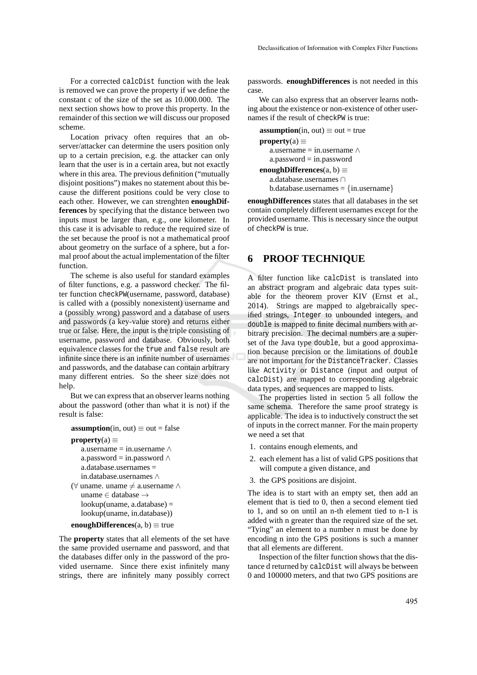For a corrected calcDist function with the leak is removed we can prove the property if we define the constant c of the size of the set as 10.000.000. The next section shows how to prove this property. In the remainder of this section we will discuss our proposed scheme.

Location privacy often requires that an observer/attacker can determine the users position only up to a certain precision, e.g. the attacker can only learn that the user is in a certain area, but not exactly where in this area. The previous definition ("mutually disjoint positions") makes no statement about this because the different positions could be very close to each other. However, we can strenghten **enoughDifferences** by specifying that the distance between two inputs must be larger than, e.g., one kilometer. In this case it is advisable to reduce the required size of the set because the proof is not a mathematical proof about geometry on the surface of a sphere, but a formal proof about the actual implementation of the filter function.

The scheme is also useful for standard examples of filter functions, e.g. a password checker. The filter function checkPW(username, password, database) is called with a (possibly nonexistent) username and a (possibly wrong) password and a database of users and passwords (a key-value store) and returns either true or false. Here, the input is the triple consisting of username, password and database. Obviously, both equivalence classes for the true and false result are infinite since there is an infinite number of usernames and passwords, and the database can contain arbitrary many different entries. So the sheer size does not help.

But we can express that an observer learns nothing about the password (other than what it is not) if the result is false:

```
assumption(in, out) \equiv out = false
```

```
property(a) \equiv
```

```
a.username = in.username \wedgea.password = in.password \wedgea.database.usernames =
   in.database.usernames ∧
(\forall uname. uname \neq a.username ∧
   uname ∈ database →
   lookup(uname, a.database) =
   lookup(uname, in.database))
```

```
enoughDifferences(a, b) \equivtrue
```
The **property** states that all elements of the set have the same provided username and password, and that the databases differ only in the password of the provided username. Since there exist infinitely many strings, there are infinitely many possibly correct passwords. **enoughDifferences** is not needed in this case.

We can also express that an observer learns nothing about the existence or non-existence of other usernames if the result of checkPW is true:

```
assumption(in, out) \equiv out = true
property(a) \equiva.username = in.username \wedgea.\text{password} = in.\text{password}enoughDifferences(a, b) ≡
   a.database.usernames ∩
   b.data base.usernames = \{in.username\}
```
**enoughDifferences** states that all databases in the set contain completely different usernames except for the provided username. This is necessary since the output of checkPW is true.

# **6 PROOF TECHNIQUE**

A filter function like calcDist is translated into an abstract program and algebraic data types suitable for the theorem prover KIV (Ernst et al., 2014). Strings are mapped to algebraically specified strings, Integer to unbounded integers, and double is mapped to finite decimal numbers with arbitrary precision. The decimal numbers are a superset of the Java type double, but a good approximation because precision or the limitations of double are not important for the DistanceTracker. Classes like Activity or Distance (input and output of calcDist) are mapped to corresponding algebraic data types, and sequences are mapped to lists.

The properties listed in section 5 all follow the same schema. Therefore the same proof strategy is applicable. The idea is to inductively construct the set of inputs in the correct manner. For the main property we need a set that

- 1. contains enough elements, and
- 2. each element has a list of valid GPS positions that will compute a given distance, and
- 3. the GPS positions are disjoint.

The idea is to start with an empty set, then add an element that is tied to 0, then a second element tied to 1, and so on until an n-th element tied to n-1 is added with n greater than the required size of the set. "Tying" an element to a number n must be done by encoding n into the GPS positions is such a manner that all elements are different.

Inspection of the filter function shows that the distance d returned by calcDist will always be between 0 and 100000 meters, and that two GPS positions are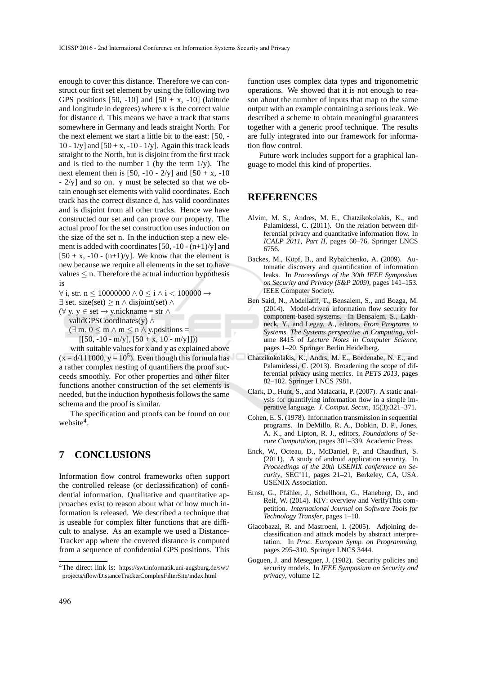enough to cover this distance. Therefore we can construct our first set element by using the following two GPS positions [50, -10] and  $[50 + x, -10]$  (latitude and longitude in degrees) where x is the correct value for distance d. This means we have a track that starts somewhere in Germany and leads straight North. For the next element we start a little bit to the east: [50, - 10 -  $1/y$ ] and  $[50 + x, -10 - 1/y]$ . Again this track leads straight to the North, but is disjoint from the first track and is tied to the number 1 (by the term  $1/y$ ). The next element then is [50, -10 -  $2/v$ ] and [50 + x, -10 - 2/y] and so on. y must be selected so that we obtain enough set elements with valid coordinates. Each track has the correct distance d, has valid coordinates and is disjoint from all other tracks. Hence we have constructed our set and can prove our property. The actual proof for the set construction uses induction on the size of the set n. In the induction step a new element is added with coordinates  $[50, -10 - (n+1)/y]$  and  $[50 + x, -10 - (n+1)/y]$ . We know that the element is new because we require all elements in the set to have values  $\leq$  n. Therefore the actual induction hypothesis is

 $\forall$  i, str. n ≤ 10000000  $\land$  0 ≤ i  $\land$  i < 100000  $\rightarrow$ 

 $\exists$  set. size(set)  $\geq$  n  $\land$  disjoint(set)  $\land$ 

(∀ y. y ∈ set → y.nickname = str ∧

validGPSCoordinates(y) ∧

 $(\exists m. 0 \le m \wedge m \le n \wedge y$ . positions =  $[50, -10 - m/y], [50 + x, 10 - m/y]])$ 

with suitable values for x and y as explained above  $(x = d/111000, y = 10<sup>5</sup>)$ . Even though this formula has a rather complex nesting of quantifiers the proof succeeds smoothly. For other properties and other filter functions another construction of the set elements is needed, but the induction hypothesis follows the same schema and the proof is similar.

The specification and proofs can be found on our website<sup>4</sup>.

# **7 CONCLUSIONS**

Information flow control frameworks often support the controlled release (or declassification) of confidential information. Qualitative and quantitative approaches exist to reason about what or how much information is released. We described a technique that is useable for complex filter functions that are difficult to analyse. As an example we used a Distance-Tracker app where the covered distance is computed from a sequence of confidential GPS positions. This

function uses complex data types and trigonometric operations. We showed that it is not enough to reason about the number of inputs that map to the same output with an example containing a serious leak. We described a scheme to obtain meaningful guarantees together with a generic proof technique. The results are fully integrated into our framework for information flow control.

Future work includes support for a graphical language to model this kind of properties.

### **REFERENCES**

- Alvim, M. S., Andres, M. E., Chatzikokolakis, K., and Palamidessi, C. (2011). On the relation between differential privacy and quantitative information flow. In *ICALP 2011, Part II*, pages 60–76. Springer LNCS 6756.
- Backes, M., Köpf, B., and Rybalchenko, A. (2009). Automatic discovery and quantification of information leaks. In *Proceedings of the 30th IEEE Symposium on Security and Privacy (S&P 2009)*, pages 141–153. IEEE Computer Society.
- Ben Said, N., Abdellatif, T., Bensalem, S., and Bozga, M. (2014). Model-driven information flow security for component-based systems. In Bensalem, S., Lakhneck, Y., and Legay, A., editors, *From Programs to Systems. The Systems perspective in Computing*, volume 8415 of *Lecture Notes in Computer Science*, pages 1–20. Springer Berlin Heidelberg.
- Chatzikokolakis, K., Andrs, M. E., Bordenabe, N. E., and Palamidessi, C. (2013). Broadening the scope of differential privacy using metrics. In *PETS 2013*, pages 82–102. Springer LNCS 7981.
- Clark, D., Hunt, S., and Malacaria, P. (2007). A static analysis for quantifying information flow in a simple imperative language. *J. Comput. Secur.*, 15(3):321–371.
- Cohen, E. S. (1978). Information transmission in sequential programs. In DeMillo, R. A., Dobkin, D. P., Jones, A. K., and Lipton, R. J., editors, *Foundations of Secure Computation*, pages 301–339. Academic Press.
- Enck, W., Octeau, D., McDaniel, P., and Chaudhuri, S. (2011). A study of android application security. In *Proceedings of the 20th USENIX conference on Security*, SEC'11, pages 21–21, Berkeley, CA, USA. USENIX Association.
- Ernst, G., Pfähler, J., Schellhorn, G., Haneberg, D., and Reif, W. (2014). KIV: overview and VerifyThis competition. *International Journal on Software Tools for Technology Transfer*, pages 1–18.
- Giacobazzi, R. and Mastroeni, I. (2005). Adjoining declassification and attack models by abstract interpretation. In *Proc. European Symp. on Programming*, pages 295–310. Springer LNCS 3444.
- Goguen, J. and Meseguer, J. (1982). Security policies and security models. In *IEEE Symposium on Security and privacy*, volume 12.

<sup>4</sup>The direct link is: https://swt.informatik.uni-augsburg.de/swt/ projects/iflow/DistanceTrackerComplexFilterSite/index.html